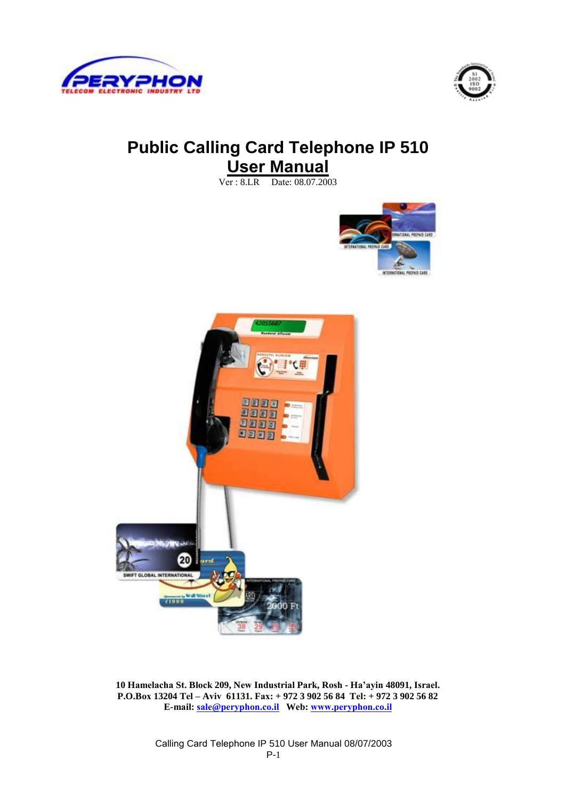



# **Public Calling Card Telephone IP 510 User Manual**

Ver : 8.LR Date: 08.07.2003





**10 Hamelacha St. Block 209, New Industrial Park, Rosh - Ha'ayin 48091, Israel. P.O.Box 13204 Tel – Aviv 61131. Fax: + 972 3 902 56 84 Tel: + 972 3 902 56 82 E-mail: sale@peryphon.co.il Web: www.peryphon.co.il**

> Calling Card Telephone IP 510 User Manual 08/07/2003 P-1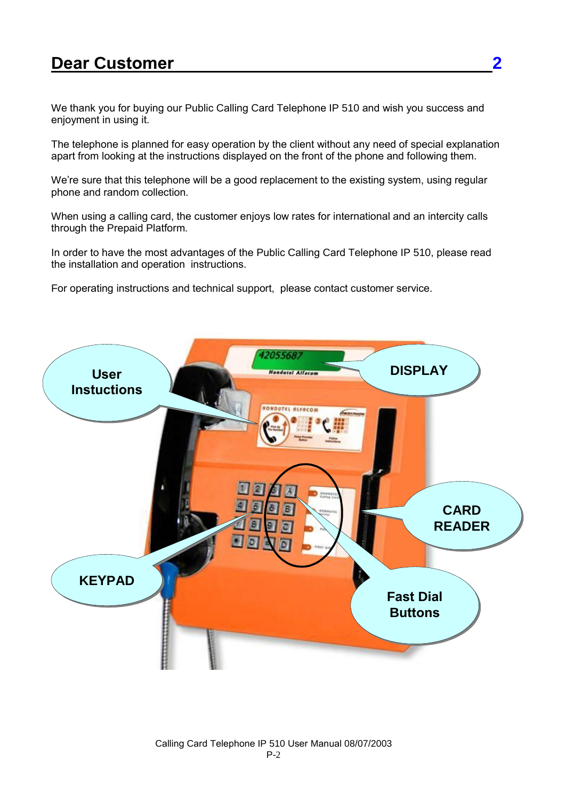# **Dear Customer** 2

We thank you for buying our Public Calling Card Telephone IP 510 and wish you success and enjoyment in using it.

The telephone is planned for easy operation by the client without any need of special explanation apart from looking at the instructions displayed on the front of the phone and following them.

We're sure that this telephone will be a good replacement to the existing system, using regular phone and random collection.

When using a calling card, the customer enjoys low rates for international and an intercity calls through the Prepaid Platform.

In order to have the most advantages of the Public Calling Card Telephone IP 510, please read the installation and operation instructions.

For operating instructions and technical support, please contact customer service.

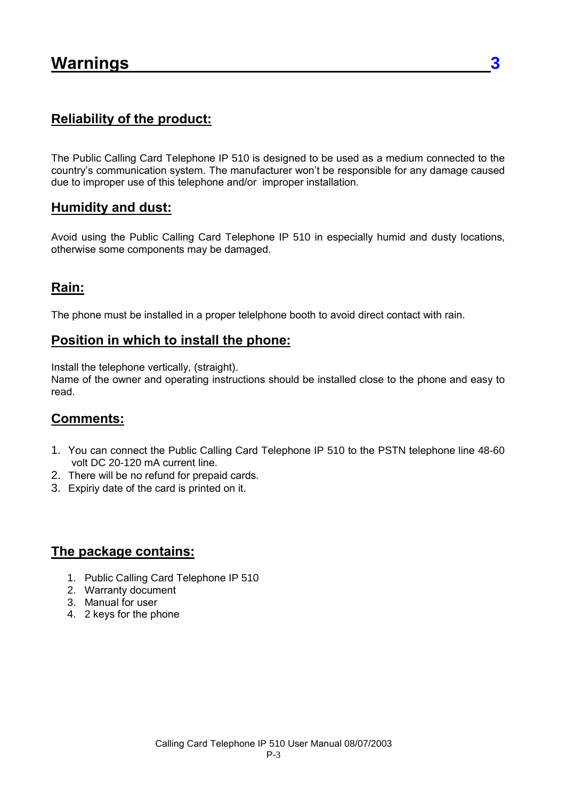#### **Reliability of the product:**

The Public Calling Card Telephone IP 510 is designed to be used as a medium connected to the country's communication system. The manufacturer won't be responsible for any damage caused due to improper use of this telephone and/or improper installation.

#### **Humidity and dust:**

Avoid using the Public Calling Card Telephone IP 510 in especially humid and dusty locations, otherwise some components may be damaged.

#### **Rain:**

The phone must be installed in a proper telelphone booth to avoid direct contact with rain.

#### **Position in which to install the phone:**

Install the telephone vertically, (straight).

Name of the owner and operating instructions should be installed close to the phone and easy to read.

#### **Comments:**

- 1. You can connect the Public Calling Card Telephone IP 510 to the PSTN telephone line 48-60 volt DC 20-120 mA current line.
- 2. There will be no refund for prepaid cards.
- 3. Expiriy date of the card is printed on it.

#### **The package contains:**

- 1. Public Calling Card Telephone IP 510
- 2. Warranty document
- 3. Manual for user
- 4. 2 keys for the phone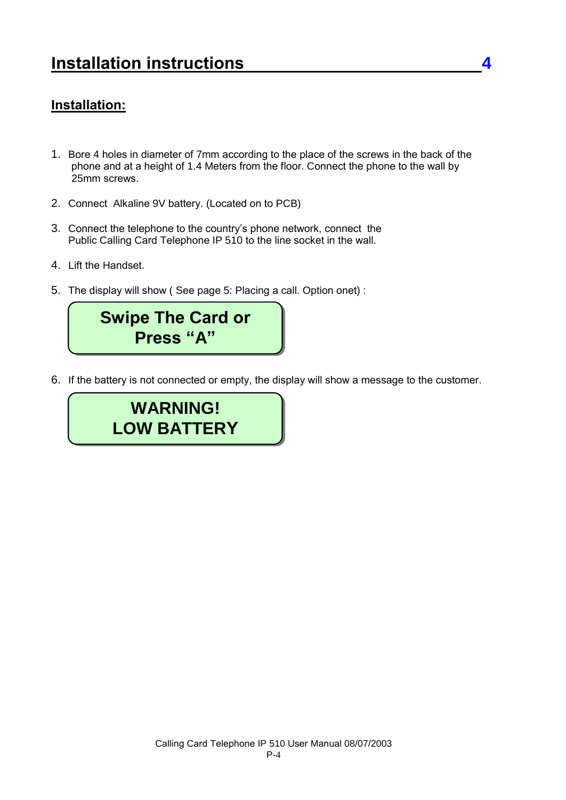#### **Installation:**

- 1. Bore 4 holes in diameter of 7mm according to the place of the screws in the back of the phone and at a height of 1.4 Meters from the floor. Connect the phone to the wall by 25mm screws.
- 2. Connect Alkaline 9V battery. (Located on to PCB)
- 3. Connect the telephone to the country's phone network, connect the Public Calling Card Telephone IP 510 to the line socket in the wall.
- 4. Lift the Handset.
- 5. The display will show ( See page 5: Placing a call. Option onet) :



6. If the battery is not connected or empty, the display will show a message to the customer.

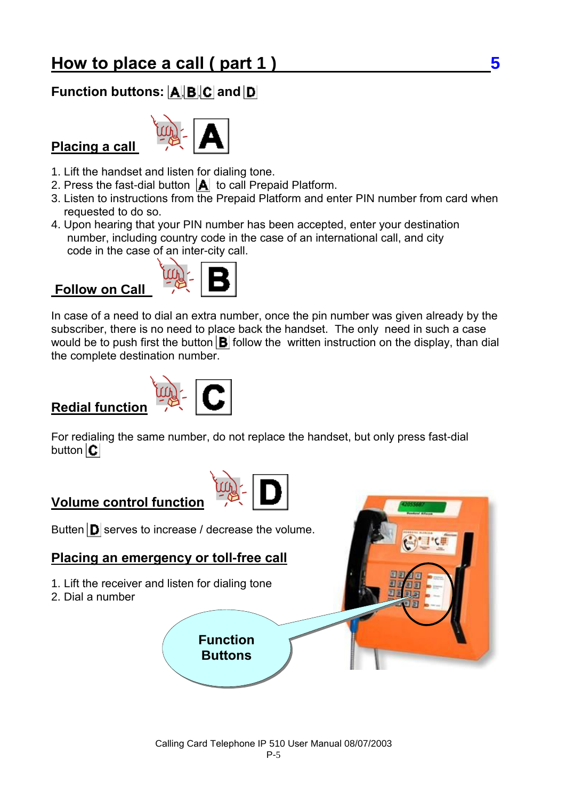## **Function buttons:**  $\mathbf{A}$ **,**  $\mathbf{B}$ **,**  $\mathbf{C}$  **and**  $\mathbf{D}$

## **Placing a call**



1. Lift the handset and listen for dialing tone.

- 2. Press the fast-dial button  $\|\mathbf{A}\|$  to call Prepaid Platform.
- 3. Listen to instructions from the Prepaid Platform and enter PIN number from card when requested to do so.
- 4. Upon hearing that your PIN number has been accepted, enter your destination number, including country code in the case of an international call, and city code in the case of an inter-city call.

#### **Follow on Call**



In case of a need to dial an extra number, once the pin number was given already by the subscriber, there is no need to place back the handset. The only need in such a case would be to push first the button  $\mathbf{B}$  follow the written instruction on the display, than dial the complete destination number.

### **Redial function**



For redialing the same number, do not replace the handset, but only press fast-dial button  $|C|$ 

## **Volume control function**



#### **Placing an emergency or toll-free call**

- 1. Lift the receiver and listen for dialing tone
- 2. Dial a number

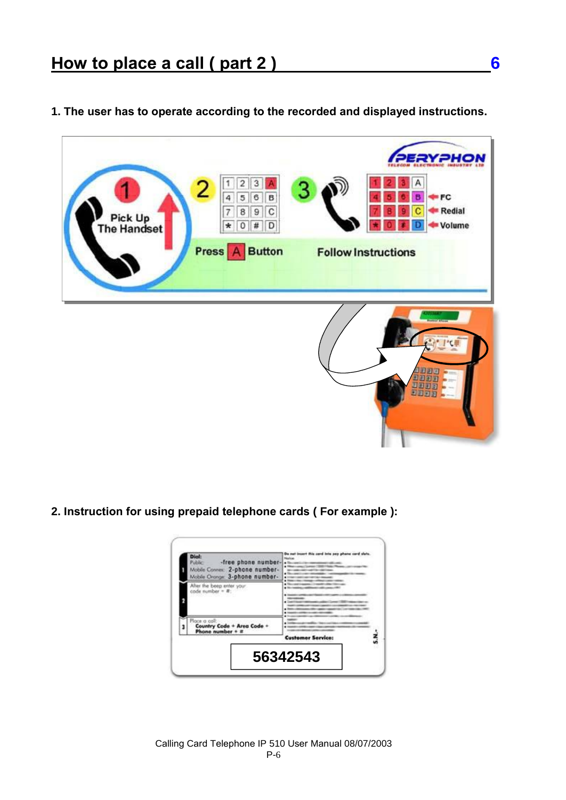**1. The user has to operate according to the recorded and displayed instructions.** 



**2. Instruction for using prepaid telephone cards ( For example ):** 

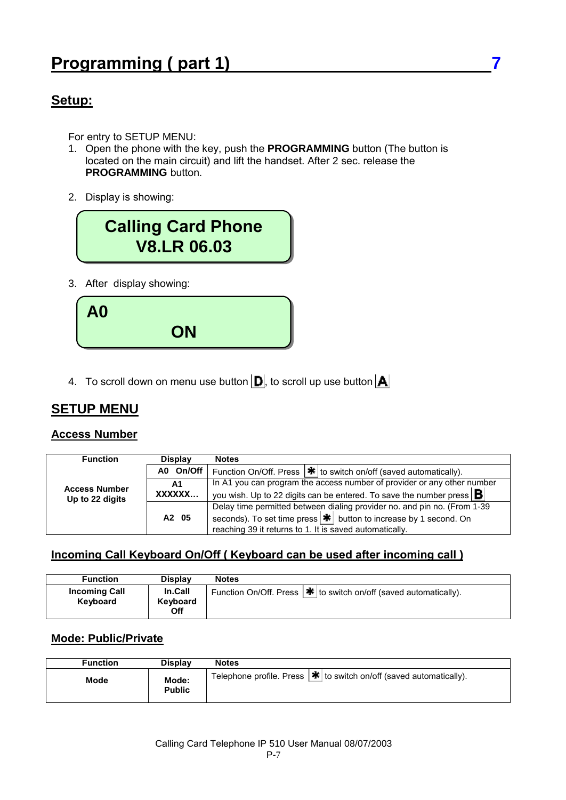#### **Setup:**

For entry to SETUP MENU:

- 1. Open the phone with the key, push the **PROGRAMMING** button (The button is located on the main circuit) and lift the handset. After 2 sec. release the **PROGRAMMING** button.
- 2. Display is showing:



3. After display showing:



4. To scroll down on menu use button  $\mathbf{D}$ , to scroll up use button  $\mathbf{A}$ 

### **SETUP MENU**

#### **Access Number**

| <b>Function</b>                         | <b>Display</b>    | <b>Notes</b>                                                                    |
|-----------------------------------------|-------------------|---------------------------------------------------------------------------------|
| <b>Access Number</b><br>Up to 22 digits | A0 On/Off         | Function On/Off. Press $ \cdot  $ to switch on/off (saved automatically).       |
|                                         | A1                | In A1 you can program the access number of provider or any other number         |
|                                         | XXXXXX            | you wish. Up to 22 digits can be entered. To save the number press $\mathbf{B}$ |
|                                         |                   | Delay time permitted between dialing provider no. and pin no. (From 1-39)       |
|                                         | A <sub>2</sub> 05 | seconds). To set time press $ \mathbf{H} $ button to increase by 1 second. On   |
|                                         |                   | reaching 39 it returns to 1. It is saved automatically.                         |

#### **Incoming Call Keyboard On/Off ( Keyboard can be used after incoming call )**

| <b>Function</b>                  | <b>Display</b>                    | <b>Notes</b>                                                                            |
|----------------------------------|-----------------------------------|-----------------------------------------------------------------------------------------|
| <b>Incoming Call</b><br>Keyboard | <b>In.Call</b><br>Keyboard<br>Off | Function On/Off. Press $ \mathbf{\mathbf{\#}} $ to switch on/off (saved automatically). |

#### **Mode: Public/Private**

| <b>Function</b> | <b>Display</b>         | <b>Notes</b>                                                                    |
|-----------------|------------------------|---------------------------------------------------------------------------------|
| Mode            | Mode:<br><b>Public</b> | Telephone profile. Press $ \mathbf{H} $ to switch on/off (saved automatically). |